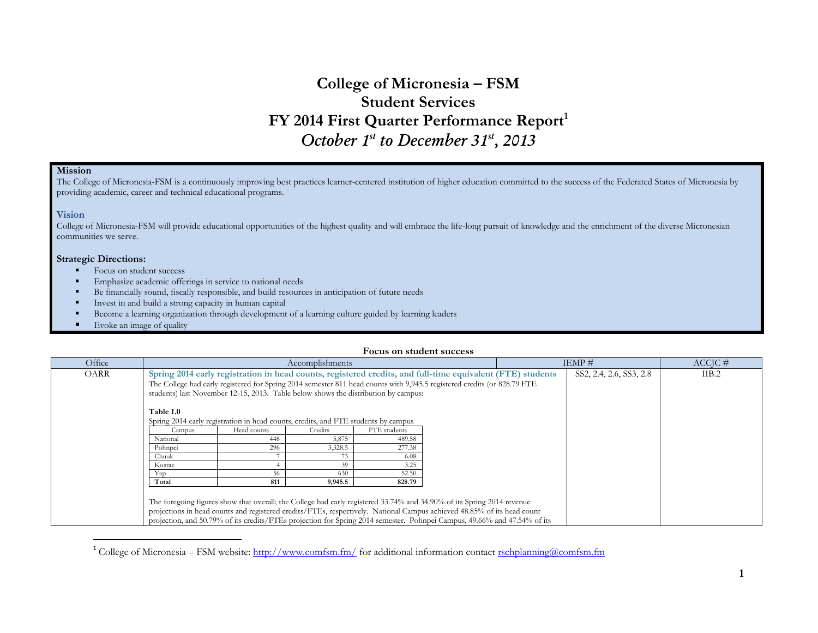# **College of Micronesia – FSM Student Services FY 2014 First Quarter Performance Report<sup>1</sup>** *October 1st to December 31st, 2013*

## **Mission**

The College of Micronesia-FSM is a continuously improving best practices learner-centered institution of higher education committed to the success of the Federated States of Micronesia by providing academic, career and technical educational programs.

#### **Vision**

College of Micronesia-FSM will provide educational opportunities of the highest quality and will embrace the life-long pursuit of knowledge and the enrichment of the diverse Micronesian communities we serve.

#### **Strategic Directions:**

 $\overline{a}$ 

- Focus on student success
- Emphasize academic offerings in service to national needs
- Be financially sound, fiscally responsible, and build resources in anticipation of future needs
- Invest in and build a strong capacity in human capital
- Become a learning organization through development of a learning culture guided by learning leaders
- Evoke an image of quality

#### **Focus on student success**

| Office | Accomplishments                                                                                                         |                                                                                                                          |         |              |  | IEMP#                   | $ACCIC \#$ |  |
|--------|-------------------------------------------------------------------------------------------------------------------------|--------------------------------------------------------------------------------------------------------------------------|---------|--------------|--|-------------------------|------------|--|
| OARR   | Spring 2014 early registration in head counts, registered credits, and full-time equivalent (FTE) students              |                                                                                                                          |         |              |  | SS2, 2.4, 2.6, SS3, 2.8 | IIB.2      |  |
|        |                                                                                                                         | The College had early registered for Spring 2014 semester 811 head counts with 9,945.5 registered credits (or 828.79 FTE |         |              |  |                         |            |  |
|        |                                                                                                                         | students) last November 12-15, 2013. Table below shows the distribution by campus:                                       |         |              |  |                         |            |  |
|        |                                                                                                                         |                                                                                                                          |         |              |  |                         |            |  |
|        | <b>Table 1.0</b>                                                                                                        |                                                                                                                          |         |              |  |                         |            |  |
|        |                                                                                                                         | Spring 2014 early registration in head counts, credits, and FTE students by campus                                       |         |              |  |                         |            |  |
|        | Campus                                                                                                                  | Head counts                                                                                                              | Credits | FTE students |  |                         |            |  |
|        | National                                                                                                                | 448                                                                                                                      | 5,875   | 489.58       |  |                         |            |  |
|        | Pohnpei                                                                                                                 | 296                                                                                                                      | 3,328.5 | 277.38       |  |                         |            |  |
|        | Chuuk                                                                                                                   |                                                                                                                          |         | 6.08         |  |                         |            |  |
|        | Kosrae                                                                                                                  |                                                                                                                          | 39      | 3.25         |  |                         |            |  |
|        | Yap                                                                                                                     | 56                                                                                                                       | 630     | 52.50        |  |                         |            |  |
|        | Total                                                                                                                   | 811                                                                                                                      | 9,945.5 | 828.79       |  |                         |            |  |
|        |                                                                                                                         |                                                                                                                          |         |              |  |                         |            |  |
|        |                                                                                                                         | The foregoing figures show that overall; the College had early registered 33.74% and 34.90% of its Spring 2014 revenue   |         |              |  |                         |            |  |
|        | projections in head counts and registered credits/FTEs, respectively. National Campus achieved 48.85% of its head count |                                                                                                                          |         |              |  |                         |            |  |
|        |                                                                                                                         | projection, and 50.79% of its credits/FTEs projection for Spring 2014 semester. Pohnpei Campus, 49.66% and 47.54% of its |         |              |  |                         |            |  |

<sup>&</sup>lt;sup>1</sup> College of Micronesia – FSM website:<http://www.comfsm.fm/> for additional information contact [rschplanning@comfsm.fm](mailto:rschplanning@comfsm.fm)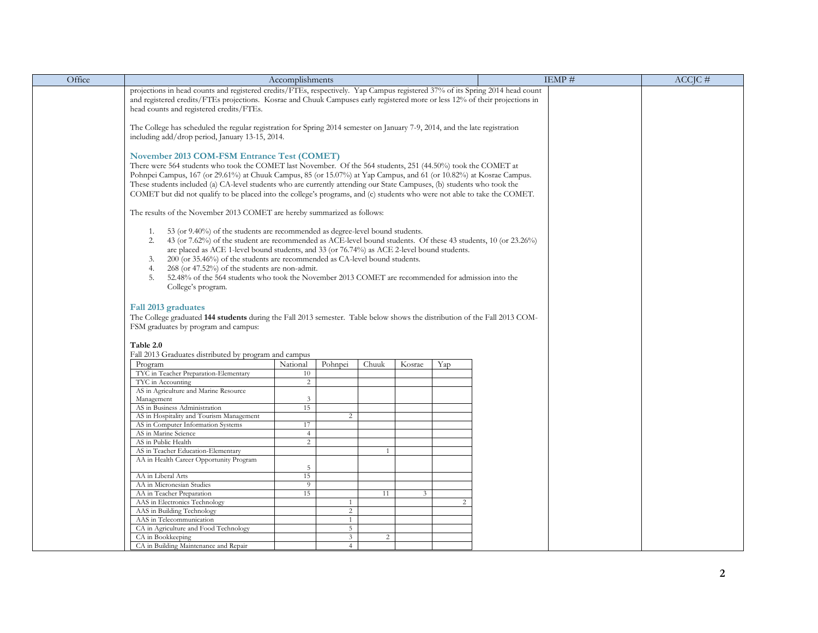| Office | Accomplishments                                                                                                                                                                                                                                      |                |                 |                |                | IEMP# | $ACCIC \#$ |  |  |
|--------|------------------------------------------------------------------------------------------------------------------------------------------------------------------------------------------------------------------------------------------------------|----------------|-----------------|----------------|----------------|-------|------------|--|--|
|        | projections in head counts and registered credits/FTEs, respectively. Yap Campus registered 37% of its Spring 2014 head count                                                                                                                        |                |                 |                |                |       |            |  |  |
|        | and registered credits/FTEs projections. Kosrae and Chuuk Campuses early registered more or less 12% of their projections in                                                                                                                         |                |                 |                |                |       |            |  |  |
|        | head counts and registered credits/FTEs.                                                                                                                                                                                                             |                |                 |                |                |       |            |  |  |
|        |                                                                                                                                                                                                                                                      |                |                 |                |                |       |            |  |  |
|        | The College has scheduled the regular registration for Spring 2014 semester on January 7-9, 2014, and the late registration                                                                                                                          |                |                 |                |                |       |            |  |  |
|        | including add/drop period, January 13-15, 2014.                                                                                                                                                                                                      |                |                 |                |                |       |            |  |  |
|        |                                                                                                                                                                                                                                                      |                |                 |                |                |       |            |  |  |
|        |                                                                                                                                                                                                                                                      |                |                 |                |                |       |            |  |  |
|        | November 2013 COM-FSM Entrance Test (COMET)                                                                                                                                                                                                          |                |                 |                |                |       |            |  |  |
|        | There were 564 students who took the COMET last November. Of the 564 students, 251 (44.50%) took the COMET at                                                                                                                                        |                |                 |                |                |       |            |  |  |
|        | Pohnpei Campus, 167 (or 29.61%) at Chuuk Campus, 85 (or 15.07%) at Yap Campus, and 61 (or 10.82%) at Kosrae Campus.                                                                                                                                  |                |                 |                |                |       |            |  |  |
|        | These students included (a) CA-level students who are currently attending our State Campuses, (b) students who took the<br>COMET but did not qualify to be placed into the college's programs, and (c) students who were not able to take the COMET. |                |                 |                |                |       |            |  |  |
|        |                                                                                                                                                                                                                                                      |                |                 |                |                |       |            |  |  |
|        |                                                                                                                                                                                                                                                      |                |                 |                |                |       |            |  |  |
|        | The results of the November 2013 COMET are hereby summarized as follows:                                                                                                                                                                             |                |                 |                |                |       |            |  |  |
|        |                                                                                                                                                                                                                                                      |                |                 |                |                |       |            |  |  |
|        | 53 (or 9.40%) of the students are recommended as degree-level bound students.<br>1.                                                                                                                                                                  |                |                 |                |                |       |            |  |  |
|        | 43 (or 7.62%) of the student are recommended as ACE-level bound students. Of these 43 students, 10 (or 23.26%)<br>2.                                                                                                                                 |                |                 |                |                |       |            |  |  |
|        | are placed as ACE 1-level bound students, and 33 (or 76.74%) as ACE 2-level bound students.                                                                                                                                                          |                |                 |                |                |       |            |  |  |
|        | $200$ (or 35.46%) of the students are recommended as CA-level bound students.<br>3.                                                                                                                                                                  |                |                 |                |                |       |            |  |  |
|        | 4.<br>268 (or 47.52%) of the students are non-admit.                                                                                                                                                                                                 |                |                 |                |                |       |            |  |  |
|        | 5.<br>52.48% of the 564 students who took the November 2013 COMET are recommended for admission into the                                                                                                                                             |                |                 |                |                |       |            |  |  |
|        | College's program.                                                                                                                                                                                                                                   |                |                 |                |                |       |            |  |  |
|        |                                                                                                                                                                                                                                                      |                |                 |                |                |       |            |  |  |
|        | Fall 2013 graduates                                                                                                                                                                                                                                  |                |                 |                |                |       |            |  |  |
|        | The College graduated 144 students during the Fall 2013 semester. Table below shows the distribution of the Fall 2013 COM-                                                                                                                           |                |                 |                |                |       |            |  |  |
|        | FSM graduates by program and campus:                                                                                                                                                                                                                 |                |                 |                |                |       |            |  |  |
|        |                                                                                                                                                                                                                                                      |                |                 |                |                |       |            |  |  |
|        | Table 2.0                                                                                                                                                                                                                                            |                |                 |                |                |       |            |  |  |
|        | Fall 2013 Graduates distributed by program and campus                                                                                                                                                                                                |                |                 |                |                |       |            |  |  |
|        | Program                                                                                                                                                                                                                                              | National       | Pohnpei         | Chuuk          | Kosrae         | Yap   |            |  |  |
|        | TYC in Teacher Preparation-Elementary                                                                                                                                                                                                                | 10             |                 |                |                |       |            |  |  |
|        | TYC in Accounting                                                                                                                                                                                                                                    | $\overline{c}$ |                 |                |                |       |            |  |  |
|        | AS in Agriculture and Marine Resource                                                                                                                                                                                                                |                |                 |                |                |       |            |  |  |
|        | Management                                                                                                                                                                                                                                           | 3              |                 |                |                |       |            |  |  |
|        | AS in Business Administration                                                                                                                                                                                                                        | 15             |                 |                |                |       |            |  |  |
|        | AS in Hospitality and Tourism Management                                                                                                                                                                                                             |                | 2               |                |                |       |            |  |  |
|        | AS in Computer Information Systems                                                                                                                                                                                                                   | 17             |                 |                |                |       |            |  |  |
|        | AS in Marine Science                                                                                                                                                                                                                                 | $\overline{4}$ |                 |                |                |       |            |  |  |
|        | AS in Public Health                                                                                                                                                                                                                                  | $\overline{c}$ |                 |                |                |       |            |  |  |
|        | AS in Teacher Education-Elementary                                                                                                                                                                                                                   |                |                 |                |                |       |            |  |  |
|        | AA in Health Career Opportunity Program                                                                                                                                                                                                              |                |                 |                |                |       |            |  |  |
|        | AA in Liberal Arts                                                                                                                                                                                                                                   | 5<br>15        |                 |                |                |       |            |  |  |
|        | AA in Micronesian Studies                                                                                                                                                                                                                            | 9              |                 |                |                |       |            |  |  |
|        | AA in Teacher Preparation                                                                                                                                                                                                                            | 15             |                 | 11             | $\overline{3}$ |       |            |  |  |
|        | AAS in Electronics Technology                                                                                                                                                                                                                        |                |                 |                |                | 2     |            |  |  |
|        | AAS in Building Technology                                                                                                                                                                                                                           |                | $\overline{c}$  |                |                |       |            |  |  |
|        | AAS in Telecommunication                                                                                                                                                                                                                             |                |                 |                |                |       |            |  |  |
|        | CA in Agriculture and Food Technology                                                                                                                                                                                                                |                | $5\overline{ }$ |                |                |       |            |  |  |
|        | CA in Bookkeeping                                                                                                                                                                                                                                    |                | $\mathfrak{Z}$  | $\overline{2}$ |                |       |            |  |  |
|        | CA in Building Maintenance and Repair                                                                                                                                                                                                                |                | $\overline{4}$  |                |                |       |            |  |  |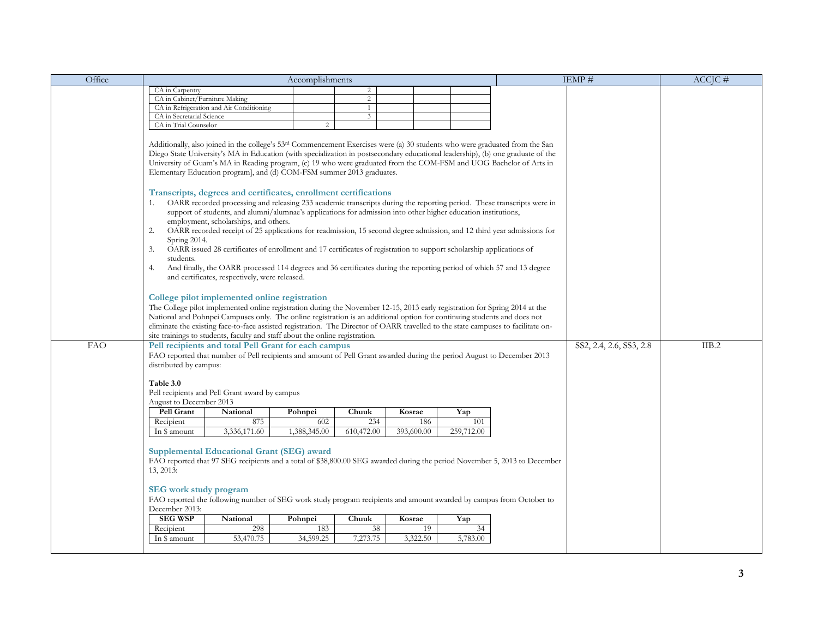| Office     |                                                                                             |                                                                                                                                                                                                                                                                                                                                                                                                                                                                                                                                                                                                                                                                                                                                                                                                                                                                                                                                                                                                                                                                                                                                                                                                                                                                                                                                                                                                                                                                                                                                                                                                                                                                                                                  | Accomplishments     |                   |                   |                   |                                                                                                                           | IEMP#                   | $ACCIC \#$ |
|------------|---------------------------------------------------------------------------------------------|------------------------------------------------------------------------------------------------------------------------------------------------------------------------------------------------------------------------------------------------------------------------------------------------------------------------------------------------------------------------------------------------------------------------------------------------------------------------------------------------------------------------------------------------------------------------------------------------------------------------------------------------------------------------------------------------------------------------------------------------------------------------------------------------------------------------------------------------------------------------------------------------------------------------------------------------------------------------------------------------------------------------------------------------------------------------------------------------------------------------------------------------------------------------------------------------------------------------------------------------------------------------------------------------------------------------------------------------------------------------------------------------------------------------------------------------------------------------------------------------------------------------------------------------------------------------------------------------------------------------------------------------------------------------------------------------------------------|---------------------|-------------------|-------------------|-------------------|---------------------------------------------------------------------------------------------------------------------------|-------------------------|------------|
|            | CA in Carpentry                                                                             |                                                                                                                                                                                                                                                                                                                                                                                                                                                                                                                                                                                                                                                                                                                                                                                                                                                                                                                                                                                                                                                                                                                                                                                                                                                                                                                                                                                                                                                                                                                                                                                                                                                                                                                  |                     | $\overline{2}$    |                   |                   |                                                                                                                           |                         |            |
|            | CA in Cabinet/Furniture Making                                                              |                                                                                                                                                                                                                                                                                                                                                                                                                                                                                                                                                                                                                                                                                                                                                                                                                                                                                                                                                                                                                                                                                                                                                                                                                                                                                                                                                                                                                                                                                                                                                                                                                                                                                                                  |                     | $\overline{2}$    |                   |                   |                                                                                                                           |                         |            |
|            |                                                                                             | CA in Refrigeration and Air Conditioning                                                                                                                                                                                                                                                                                                                                                                                                                                                                                                                                                                                                                                                                                                                                                                                                                                                                                                                                                                                                                                                                                                                                                                                                                                                                                                                                                                                                                                                                                                                                                                                                                                                                         |                     | 1                 |                   |                   |                                                                                                                           |                         |            |
|            | CA in Secretarial Science                                                                   |                                                                                                                                                                                                                                                                                                                                                                                                                                                                                                                                                                                                                                                                                                                                                                                                                                                                                                                                                                                                                                                                                                                                                                                                                                                                                                                                                                                                                                                                                                                                                                                                                                                                                                                  |                     | $\mathfrak{Z}$    |                   |                   |                                                                                                                           |                         |            |
|            | CA in Trial Counselor                                                                       |                                                                                                                                                                                                                                                                                                                                                                                                                                                                                                                                                                                                                                                                                                                                                                                                                                                                                                                                                                                                                                                                                                                                                                                                                                                                                                                                                                                                                                                                                                                                                                                                                                                                                                                  | $\overline{c}$      |                   |                   |                   |                                                                                                                           |                         |            |
|            | 1.<br>2.<br>Spring 2014.<br>3.<br>students.<br>4.                                           | Additionally, also joined in the college's 53 <sup>rd</sup> Commencement Exercises were (a) 30 students who were graduated from the San<br>Diego State University's MA in Education (with specialization in postsecondary educational leadership), (b) one graduate of the<br>University of Guam's MA in Reading program, (c) 19 who were graduated from the COM-FSM and UOG Bachelor of Arts in<br>Elementary Education program], and (d) COM-FSM summer 2013 graduates.<br>Transcripts, degrees and certificates, enrollment certifications<br>OARR recorded processing and releasing 233 academic transcripts during the reporting period. These transcripts were in<br>support of students, and alumni/alumnae's applications for admission into other higher education institutions,<br>employment, scholarships, and others.<br>OARR recorded receipt of 25 applications for readmission, 15 second degree admission, and 12 third year admissions for<br>OARR issued 28 certificates of enrollment and 17 certificates of registration to support scholarship applications of<br>And finally, the OARR processed 114 degrees and 36 certificates during the reporting period of which 57 and 13 degree<br>and certificates, respectively, were released.<br>College pilot implemented online registration<br>The College pilot implemented online registration during the November 12-15, 2013 early registration for Spring 2014 at the<br>National and Pohnpei Campuses only. The online registration is an additional option for continuing students and does not<br>eliminate the existing face-to-face assisted registration. The Director of OARR travelled to the state campuses to facilitate on- |                     |                   |                   |                   |                                                                                                                           |                         |            |
|            |                                                                                             | site trainings to students, faculty and staff about the online registration.                                                                                                                                                                                                                                                                                                                                                                                                                                                                                                                                                                                                                                                                                                                                                                                                                                                                                                                                                                                                                                                                                                                                                                                                                                                                                                                                                                                                                                                                                                                                                                                                                                     |                     |                   |                   |                   |                                                                                                                           |                         |            |
| <b>FAO</b> | distributed by campus:<br>Table 3.0<br>August to December 2013                              | Pell recipients and total Pell Grant for each campus<br>FAO reported that number of Pell recipients and amount of Pell Grant awarded during the period August to December 2013<br>Pell recipients and Pell Grant award by campus                                                                                                                                                                                                                                                                                                                                                                                                                                                                                                                                                                                                                                                                                                                                                                                                                                                                                                                                                                                                                                                                                                                                                                                                                                                                                                                                                                                                                                                                                 |                     |                   |                   |                   |                                                                                                                           | SS2, 2.4, 2.6, SS3, 2.8 | IIB.2      |
|            | Pell Grant                                                                                  |                                                                                                                                                                                                                                                                                                                                                                                                                                                                                                                                                                                                                                                                                                                                                                                                                                                                                                                                                                                                                                                                                                                                                                                                                                                                                                                                                                                                                                                                                                                                                                                                                                                                                                                  |                     |                   |                   |                   |                                                                                                                           |                         |            |
|            |                                                                                             | National                                                                                                                                                                                                                                                                                                                                                                                                                                                                                                                                                                                                                                                                                                                                                                                                                                                                                                                                                                                                                                                                                                                                                                                                                                                                                                                                                                                                                                                                                                                                                                                                                                                                                                         | Pohnpei             | Chuuk             | Kosrae            | Yap               |                                                                                                                           |                         |            |
|            | Recipient<br>In \$ amount                                                                   | 875<br>3,336,171.60                                                                                                                                                                                                                                                                                                                                                                                                                                                                                                                                                                                                                                                                                                                                                                                                                                                                                                                                                                                                                                                                                                                                                                                                                                                                                                                                                                                                                                                                                                                                                                                                                                                                                              | 602<br>1,388,345.00 | 234<br>610,472.00 | 186<br>393,600.00 | 101<br>259,712.00 |                                                                                                                           |                         |            |
|            | 13, 2013:<br><b>SEG</b> work study program<br>December 2013:<br><b>SEG WSP</b><br>Recipient | Supplemental Educational Grant (SEG) award<br>FAO reported the following number of SEG work study program recipients and amount awarded by campus from October to<br>National<br>298                                                                                                                                                                                                                                                                                                                                                                                                                                                                                                                                                                                                                                                                                                                                                                                                                                                                                                                                                                                                                                                                                                                                                                                                                                                                                                                                                                                                                                                                                                                             | Pohnpei<br>183      | Chuuk<br>38       | Kosrae<br>19      | Yap<br>34         | FAO reported that 97 SEG recipients and a total of \$38,800.00 SEG awarded during the period November 5, 2013 to December |                         |            |
|            | In \$ amount                                                                                | 53,470.75                                                                                                                                                                                                                                                                                                                                                                                                                                                                                                                                                                                                                                                                                                                                                                                                                                                                                                                                                                                                                                                                                                                                                                                                                                                                                                                                                                                                                                                                                                                                                                                                                                                                                                        | 34,599.25           | 7,273.75          | 3,322.50          | 5,783.00          |                                                                                                                           |                         |            |
|            |                                                                                             |                                                                                                                                                                                                                                                                                                                                                                                                                                                                                                                                                                                                                                                                                                                                                                                                                                                                                                                                                                                                                                                                                                                                                                                                                                                                                                                                                                                                                                                                                                                                                                                                                                                                                                                  |                     |                   |                   |                   |                                                                                                                           |                         |            |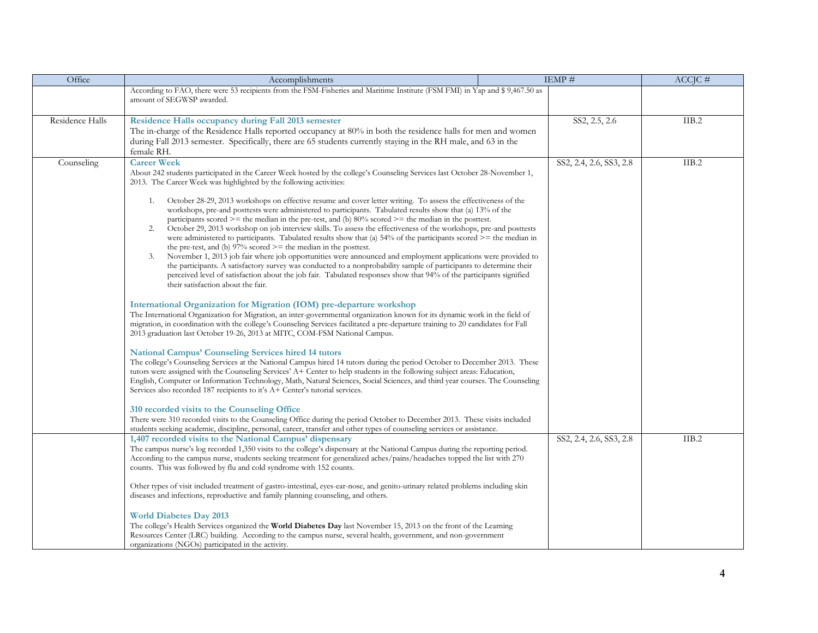| Office          | Accomplishments                                                                                                                                                                                                                                        | IEMP#                   | $ACCIC \#$ |
|-----------------|--------------------------------------------------------------------------------------------------------------------------------------------------------------------------------------------------------------------------------------------------------|-------------------------|------------|
|                 | According to FAO, there were 53 recipients from the FSM-Fisheries and Maritime Institute (FSM FMI) in Yap and \$ 9,467.50 as<br>amount of SEGWSP awarded.                                                                                              |                         |            |
| Residence Halls | Residence Halls occupancy during Fall 2013 semester                                                                                                                                                                                                    | SS2, 2.5, 2.6           | IIB.2      |
|                 | The in-charge of the Residence Halls reported occupancy at 80% in both the residence halls for men and women                                                                                                                                           |                         |            |
|                 | during Fall 2013 semester. Specifically, there are 65 students currently staying in the RH male, and 63 in the                                                                                                                                         |                         |            |
|                 | female RH.                                                                                                                                                                                                                                             |                         |            |
| Counseling      | <b>Career Week</b>                                                                                                                                                                                                                                     | SS2, 2.4, 2.6, SS3, 2.8 | IIB.2      |
|                 | About 242 students participated in the Career Week hosted by the college's Counseling Services last October 28-November 1,<br>2013. The Career Week was highlighted by the following activities:                                                       |                         |            |
|                 | October 28-29, 2013 workshops on effective resume and cover letter writing. To assess the effectiveness of the<br>1.                                                                                                                                   |                         |            |
|                 | workshops, pre-and posttests were administered to participants. Tabulated results show that (a) 13% of the                                                                                                                                             |                         |            |
|                 | participants scored $\ge$ = the median in the pre-test, and (b) 80% scored $\ge$ = the median in the posttest.                                                                                                                                         |                         |            |
|                 | October 29, 2013 workshop on job interview skills. To assess the effectiveness of the workshops, pre-and posttests<br>2.<br>were administered to participants. Tabulated results show that (a) $54\%$ of the participants scored $\ge$ = the median in |                         |            |
|                 | the pre-test, and (b) $97\%$ scored $\geq$ the median in the posttest.                                                                                                                                                                                 |                         |            |
|                 | November 1, 2013 job fair where job opportunities were announced and employment applications were provided to<br>3.                                                                                                                                    |                         |            |
|                 | the participants. A satisfactory survey was conducted to a nonprobability sample of participants to determine their                                                                                                                                    |                         |            |
|                 | perceived level of satisfaction about the job fair. Tabulated responses show that 94% of the participants signified                                                                                                                                    |                         |            |
|                 | their satisfaction about the fair.                                                                                                                                                                                                                     |                         |            |
|                 | International Organization for Migration (IOM) pre-departure workshop                                                                                                                                                                                  |                         |            |
|                 | The International Organization for Migration, an inter-governmental organization known for its dynamic work in the field of                                                                                                                            |                         |            |
|                 | migration, in coordination with the college's Counseling Services facilitated a pre-departure training to 20 candidates for Fall                                                                                                                       |                         |            |
|                 | 2013 graduation last October 19-26, 2013 at MITC, COM-FSM National Campus.                                                                                                                                                                             |                         |            |
|                 | <b>National Campus' Counseling Services hired 14 tutors</b>                                                                                                                                                                                            |                         |            |
|                 | The college's Counseling Services at the National Campus hired 14 tutors during the period October to December 2013. These                                                                                                                             |                         |            |
|                 | tutors were assigned with the Counseling Services' A+ Center to help students in the following subject areas: Education,                                                                                                                               |                         |            |
|                 | English, Computer or Information Technology, Math, Natural Sciences, Social Sciences, and third year courses. The Counseling                                                                                                                           |                         |            |
|                 | Services also recorded 187 recipients to it's A+ Center's tutorial services.                                                                                                                                                                           |                         |            |
|                 | 310 recorded visits to the Counseling Office                                                                                                                                                                                                           |                         |            |
|                 | There were 310 recorded visits to the Counseling Office during the period October to December 2013. These visits included                                                                                                                              |                         |            |
|                 | students seeking academic, discipline, personal, career, transfer and other types of counseling services or assistance.                                                                                                                                |                         |            |
|                 | 1,407 recorded visits to the National Campus' dispensary                                                                                                                                                                                               | SS2, 2.4, 2.6, SS3, 2.8 | IIB.2      |
|                 | The campus nurse's log recorded 1,350 visits to the college's dispensary at the National Campus during the reporting period.                                                                                                                           |                         |            |
|                 | According to the campus nurse, students seeking treatment for generalized aches/pains/headaches topped the list with 270<br>counts. This was followed by flu and cold syndrome with 152 counts.                                                        |                         |            |
|                 |                                                                                                                                                                                                                                                        |                         |            |
|                 | Other types of visit included treatment of gastro-intestinal, eyes-ear-nose, and genito-urinary related problems including skin                                                                                                                        |                         |            |
|                 | diseases and infections, reproductive and family planning counseling, and others.                                                                                                                                                                      |                         |            |
|                 |                                                                                                                                                                                                                                                        |                         |            |
|                 | <b>World Diabetes Day 2013</b><br>The college's Health Services organized the World Diabetes Day last November 15, 2013 on the front of the Learning                                                                                                   |                         |            |
|                 | Resources Center (LRC) building. According to the campus nurse, several health, government, and non-government                                                                                                                                         |                         |            |
|                 | organizations (NGOs) participated in the activity.                                                                                                                                                                                                     |                         |            |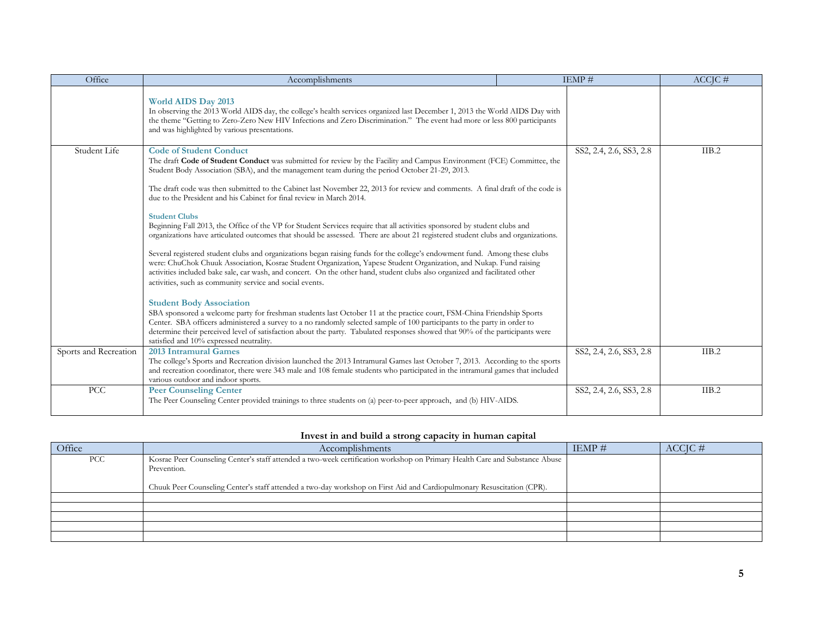| Office                | Accomplishments                                                                                                                                                                                                                                                                                                                                                                                                                                                                                                                                                                                                                                                                                                                                                                                                                                                                                                                                                                                                                                                                                                                                                                                                                                                                                                                                                                                                                                                                                                                                                                                                                                                                 | IEMP#                   | $ACCIC \#$ |
|-----------------------|---------------------------------------------------------------------------------------------------------------------------------------------------------------------------------------------------------------------------------------------------------------------------------------------------------------------------------------------------------------------------------------------------------------------------------------------------------------------------------------------------------------------------------------------------------------------------------------------------------------------------------------------------------------------------------------------------------------------------------------------------------------------------------------------------------------------------------------------------------------------------------------------------------------------------------------------------------------------------------------------------------------------------------------------------------------------------------------------------------------------------------------------------------------------------------------------------------------------------------------------------------------------------------------------------------------------------------------------------------------------------------------------------------------------------------------------------------------------------------------------------------------------------------------------------------------------------------------------------------------------------------------------------------------------------------|-------------------------|------------|
|                       | <b>World AIDS Day 2013</b><br>In observing the 2013 World AIDS day, the college's health services organized last December 1, 2013 the World AIDS Day with<br>the theme "Getting to Zero-Zero New HIV Infections and Zero Discrimination." The event had more or less 800 participants<br>and was highlighted by various presentations.                                                                                                                                                                                                                                                                                                                                                                                                                                                                                                                                                                                                                                                                                                                                                                                                                                                                                                                                                                                                                                                                                                                                                                                                                                                                                                                                          |                         |            |
| Student Life          | <b>Code of Student Conduct</b><br>The draft Code of Student Conduct was submitted for review by the Facility and Campus Environment (FCE) Committee, the<br>Student Body Association (SBA), and the management team during the period October 21-29, 2013.<br>The draft code was then submitted to the Cabinet last November 22, 2013 for review and comments. A final draft of the code is<br>due to the President and his Cabinet for final review in March 2014.<br><b>Student Clubs</b><br>Beginning Fall 2013, the Office of the VP for Student Services require that all activities sponsored by student clubs and<br>organizations have articulated outcomes that should be assessed. There are about 21 registered student clubs and organizations.<br>Several registered student clubs and organizations began raising funds for the college's endowment fund. Among these clubs<br>were: ChuChok Chuuk Association, Kosrae Student Organization, Yapese Student Organization, and Nukap. Fund raising<br>activities included bake sale, car wash, and concert. On the other hand, student clubs also organized and facilitated other<br>activities, such as community service and social events.<br><b>Student Body Association</b><br>SBA sponsored a welcome party for freshman students last October 11 at the practice court, FSM-China Friendship Sports<br>Center. SBA officers administered a survey to a no randomly selected sample of 100 participants to the party in order to<br>determine their perceived level of satisfaction about the party. Tabulated responses showed that 90% of the participants were<br>satisfied and 10% expressed neutrality. | SS2, 2.4, 2.6, SS3, 2.8 | IIB.2      |
| Sports and Recreation | 2013 Intramural Games<br>The college's Sports and Recreation division launched the 2013 Intramural Games last October 7, 2013. According to the sports<br>and recreation coordinator, there were 343 male and 108 female students who participated in the intramural games that included<br>various outdoor and indoor sports.                                                                                                                                                                                                                                                                                                                                                                                                                                                                                                                                                                                                                                                                                                                                                                                                                                                                                                                                                                                                                                                                                                                                                                                                                                                                                                                                                  | SS2, 2.4, 2.6, SS3, 2.8 | IIB.2      |
| <b>PCC</b>            | <b>Peer Counseling Center</b><br>The Peer Counseling Center provided trainings to three students on (a) peer-to-peer approach, and (b) HIV-AIDS.                                                                                                                                                                                                                                                                                                                                                                                                                                                                                                                                                                                                                                                                                                                                                                                                                                                                                                                                                                                                                                                                                                                                                                                                                                                                                                                                                                                                                                                                                                                                | SS2, 2.4, 2.6, SS3, 2.8 | IIB.2      |

# **Invest in and build a strong capacity in human capital**

| Office | Accomplishments                                                                                                                                                                                                                                                      | IEMP $#$ | $ACCIC \#$ |
|--------|----------------------------------------------------------------------------------------------------------------------------------------------------------------------------------------------------------------------------------------------------------------------|----------|------------|
| PCC    | Kosrae Peer Counseling Center's staff attended a two-week certification workshop on Primary Health Care and Substance Abuse<br>Prevention.<br>Chuuk Peer Counseling Center's staff attended a two-day workshop on First Aid and Cardiopulmonary Resuscitation (CPR). |          |            |
|        |                                                                                                                                                                                                                                                                      |          |            |
|        |                                                                                                                                                                                                                                                                      |          |            |
|        |                                                                                                                                                                                                                                                                      |          |            |
|        |                                                                                                                                                                                                                                                                      |          |            |
|        |                                                                                                                                                                                                                                                                      |          |            |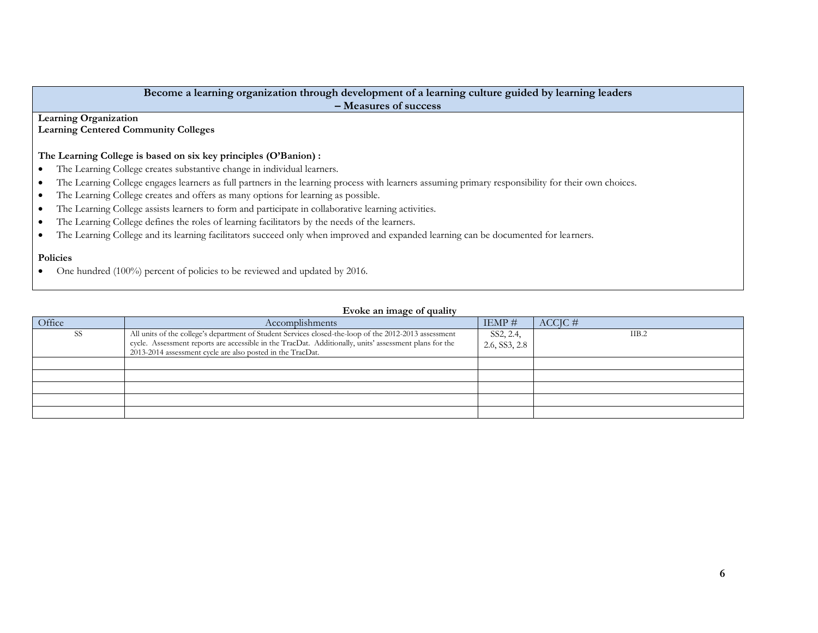| Become a learning organization through development of a learning culture guided by learning leaders                                                              |  |  |  |  |  |  |
|------------------------------------------------------------------------------------------------------------------------------------------------------------------|--|--|--|--|--|--|
| - Measures of success                                                                                                                                            |  |  |  |  |  |  |
| <b>Learning Organization</b>                                                                                                                                     |  |  |  |  |  |  |
| <b>Learning Centered Community Colleges</b>                                                                                                                      |  |  |  |  |  |  |
|                                                                                                                                                                  |  |  |  |  |  |  |
| The Learning College is based on six key principles (O'Banion) :                                                                                                 |  |  |  |  |  |  |
| • The Learning College creates substantive change in individual learners.                                                                                        |  |  |  |  |  |  |
| The Learning College engages learners as full partners in the learning process with learners assuming primary responsibility for their own choices.<br>$\bullet$ |  |  |  |  |  |  |
| The Learning College creates and offers as many options for learning as possible.<br>$\bullet$                                                                   |  |  |  |  |  |  |
| The Learning College assists learners to form and participate in collaborative learning activities.<br>$\bullet$                                                 |  |  |  |  |  |  |
| The Learning College defines the roles of learning facilitators by the needs of the learners.<br>$\bullet$                                                       |  |  |  |  |  |  |
| The Learning College and its learning facilitators succeed only when improved and expanded learning can be documented for learners.<br>$\bullet$                 |  |  |  |  |  |  |
|                                                                                                                                                                  |  |  |  |  |  |  |
| <b>Policies</b>                                                                                                                                                  |  |  |  |  |  |  |
| One hundred (100%) percent of policies to be reviewed and updated by 2016.                                                                                       |  |  |  |  |  |  |

# **Evoke an image of quality**

| Office | Accomplishments                                                                                                                                                                                                                                                               | $IEMP \#$                               | $ACCIC \#$ |
|--------|-------------------------------------------------------------------------------------------------------------------------------------------------------------------------------------------------------------------------------------------------------------------------------|-----------------------------------------|------------|
| -SS    | All units of the college's department of Student Services closed-the-loop of the 2012-2013 assessment<br>cycle. Assessment reports are accessible in the TracDat. Additionally, units' assessment plans for the<br>2013-2014 assessment cycle are also posted in the TracDat. | SS2, 2.4,<br>2.6, S <sub>S</sub> 3, 2.8 | IIB.2      |
|        |                                                                                                                                                                                                                                                                               |                                         |            |
|        |                                                                                                                                                                                                                                                                               |                                         |            |
|        |                                                                                                                                                                                                                                                                               |                                         |            |
|        |                                                                                                                                                                                                                                                                               |                                         |            |
|        |                                                                                                                                                                                                                                                                               |                                         |            |